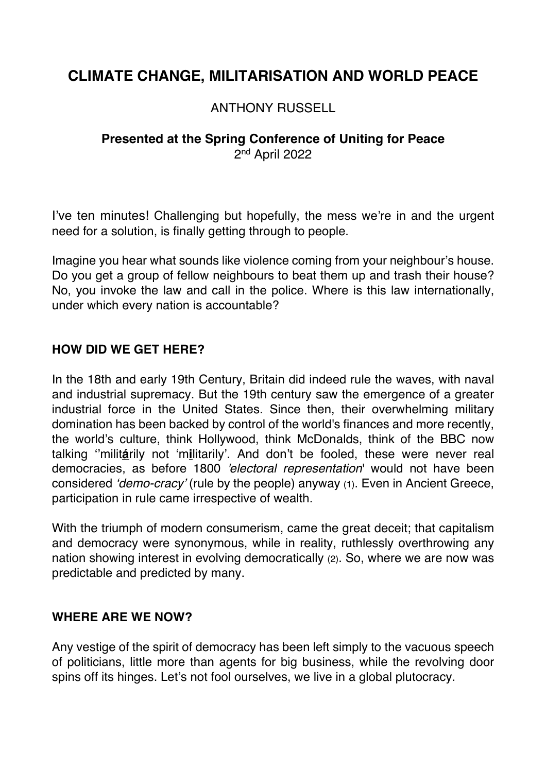# **CLIMATE CHANGE, MILITARISATION AND WORLD PEACE**

## ANTHONY RUSSELL

# **Presented at the Spring Conference of Uniting for Peace** 2nd April 2022

I've ten minutes! Challenging but hopefully, the mess we're in and the urgent need for a solution, is finally getting through to people.

Imagine you hear what sounds like violence coming from your neighbour's house. Do you get a group of fellow neighbours to beat them up and trash their house? No, you invoke the law and call in the police. Where is this law internationally, under which every nation is accountable?

### **HOW DID WE GET HERE?**

In the 18th and early 19th Century, Britain did indeed rule the waves, with naval and industrial supremacy. But the 19th century saw the emergence of a greater industrial force in the United States. Since then, their overwhelming military domination has been backed by control of the world's finances and more recently, the world's culture, think Hollywood, think McDonalds, think of the BBC now talking ''milit**á**rily not 'm**i**litarily'. And don't be fooled, these were never real democracies, as before 1800 *'electoral representation*' would not have been considered *'demo-cracy'* (rule by the people) anyway (1). Even in Ancient Greece, participation in rule came irrespective of wealth.

With the triumph of modern consumerism, came the great deceit; that capitalism and democracy were synonymous, while in reality, ruthlessly overthrowing any nation showing interest in evolving democratically (2). So, where we are now was predictable and predicted by many.

#### **WHERE ARE WE NOW?**

Any vestige of the spirit of democracy has been left simply to the vacuous speech of politicians, little more than agents for big business, while the revolving door spins off its hinges. Let's not fool ourselves, we live in a global plutocracy.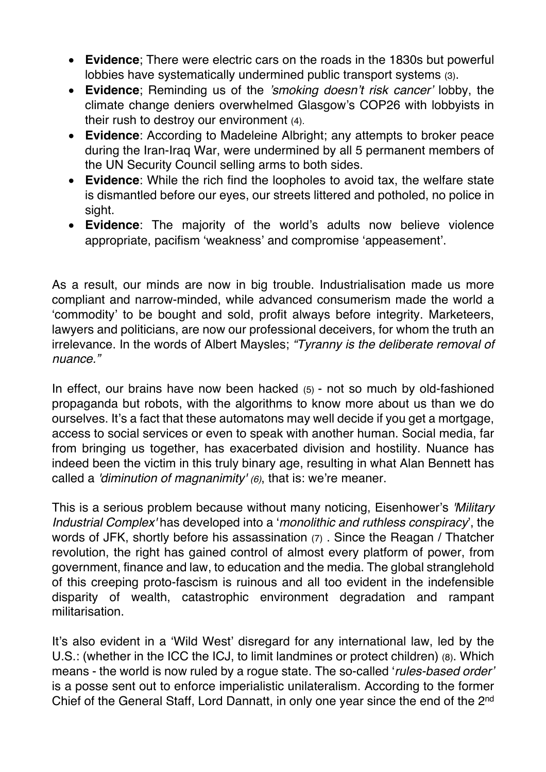- **Evidence**; There were electric cars on the roads in the 1830s but powerful lobbies have systematically undermined public transport systems (3).
- **Evidence**; Reminding us of the *'smoking doesn't risk cancer'* lobby, the climate change deniers overwhelmed Glasgow's COP26 with lobbyists in their rush to destroy our environment (4).
- **Evidence**: According to Madeleine Albright; any attempts to broker peace during the Iran-Iraq War, were undermined by all 5 permanent members of the UN Security Council selling arms to both sides.
- **Evidence**: While the rich find the loopholes to avoid tax, the welfare state is dismantled before our eyes, our streets littered and potholed, no police in sight.
- **Evidence**: The majority of the world's adults now believe violence appropriate, pacifism 'weakness' and compromise 'appeasement'.

As a result, our minds are now in big trouble. Industrialisation made us more compliant and narrow-minded, while advanced consumerism made the world a 'commodity' to be bought and sold, profit always before integrity. Marketeers, lawyers and politicians, are now our professional deceivers, for whom the truth an irrelevance. In the words of Albert Maysles; *"Tyranny is the deliberate removal of nuance."*

In effect, our brains have now been hacked (5) - not so much by old-fashioned propaganda but robots, with the algorithms to know more about us than we do ourselves. It's a fact that these automatons may well decide if you get a mortgage, access to social services or even to speak with another human. Social media, far from bringing us together, has exacerbated division and hostility. Nuance has indeed been the victim in this truly binary age, resulting in what Alan Bennett has called a *'diminution of magnanimity' (6)*, that is: we're meaner.

This is a serious problem because without many noticing, Eisenhower's *'Military Industrial Complex'* has developed into a '*monolithic and ruthless conspiracy*', the words of JFK, shortly before his assassination (7) . Since the Reagan / Thatcher revolution, the right has gained control of almost every platform of power, from government, finance and law, to education and the media. The global stranglehold of this creeping proto-fascism is ruinous and all too evident in the indefensible disparity of wealth, catastrophic environment degradation and rampant militarisation.

It's also evident in a 'Wild West' disregard for any international law, led by the U.S.: (whether in the ICC the ICJ, to limit landmines or protect children) (8). Which means - the world is now ruled by a rogue state. The so-called '*rules-based order'* is a posse sent out to enforce imperialistic unilateralism. According to the former Chief of the General Staff, Lord Dannatt, in only one year since the end of the 2nd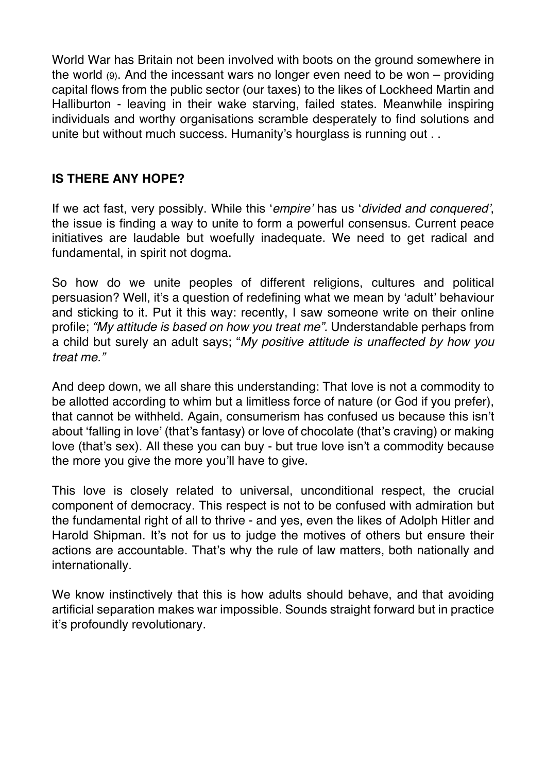World War has Britain not been involved with boots on the ground somewhere in the world (9). And the incessant wars no longer even need to be won – providing capital flows from the public sector (our taxes) to the likes of Lockheed Martin and Halliburton - leaving in their wake starving, failed states. Meanwhile inspiring individuals and worthy organisations scramble desperately to find solutions and unite but without much success. Humanity's hourglass is running out ...

### **IS THERE ANY HOPE?**

If we act fast, very possibly. While this '*empire'* has us '*divided and conquered'*, the issue is finding a way to unite to form a powerful consensus. Current peace initiatives are laudable but woefully inadequate. We need to get radical and fundamental, in spirit not dogma.

So how do we unite peoples of different religions, cultures and political persuasion? Well, it's a question of redefining what we mean by 'adult' behaviour and sticking to it. Put it this way: recently, I saw someone write on their online profile; *"My attitude is based on how you treat me".* Understandable perhaps from a child but surely an adult says; "*My positive attitude is unaffected by how you treat me."* 

And deep down, we all share this understanding: That love is not a commodity to be allotted according to whim but a limitless force of nature (or God if you prefer), that cannot be withheld. Again, consumerism has confused us because this isn't about 'falling in love' (that's fantasy) or love of chocolate (that's craving) or making love (that's sex). All these you can buy - but true love isn't a commodity because the more you give the more you'll have to give.

This love is closely related to universal, unconditional respect, the crucial component of democracy. This respect is not to be confused with admiration but the fundamental right of all to thrive - and yes, even the likes of Adolph Hitler and Harold Shipman. It's not for us to judge the motives of others but ensure their actions are accountable. That's why the rule of law matters, both nationally and internationally.

We know instinctively that this is how adults should behave, and that avoiding artificial separation makes war impossible. Sounds straight forward but in practice it's profoundly revolutionary.